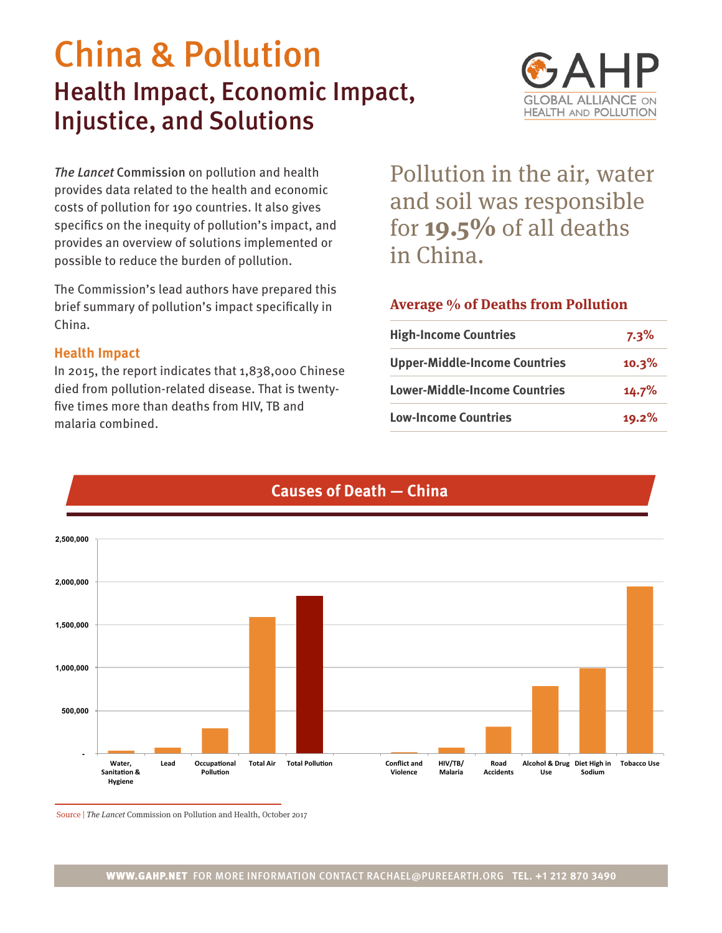# China & Pollution Health Impact, Economic Impact, Injustice, and Solutions



*The Lancet* Commission on pollution and health provides data related to the health and economic costs of pollution for 190 countries. It also gives specifics on the inequity of pollution's impact, and provides an overview of solutions implemented or possible to reduce the burden of pollution.

The Commission's lead authors have prepared this brief summary of pollution's impact specifically in China.

#### **Health Impact**

In 2015, the report indicates that 1,838,000 Chinese died from pollution-related disease. That is twentyfive times more than deaths from HIV, TB and malaria combined.

Pollution in the air, water and soil was responsible for **19.5%** of all deaths in China.

## **Average % of Deaths from Pollution**

| <b>High-Income Countries</b>         | 7.3%  |
|--------------------------------------|-------|
| <b>Upper-Middle-Income Countries</b> | 10.3% |
| <b>Lower-Middle-Income Countries</b> | 14.7% |
| <b>Low-Income Countries</b>          | 19.2% |



# **Causes of Death — China**

Source | The Lancet Commission on Pollution and Health, October 2017